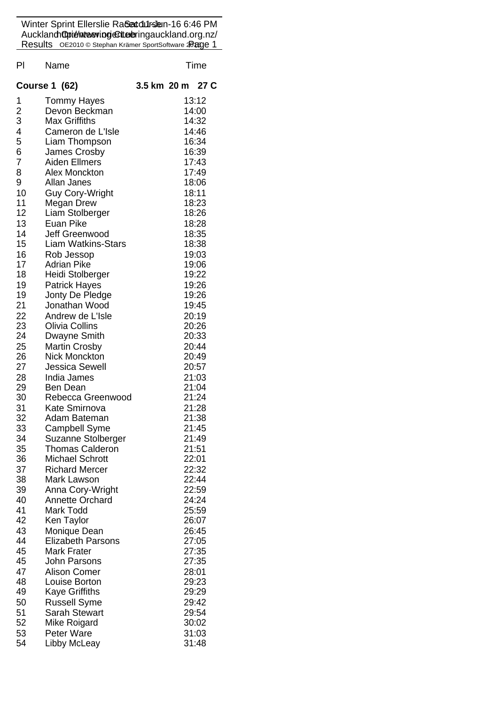Winter Sprint Ellerslie Ra**&ætdursle**n-16 6:46 PM Aucklan**d Opienteeving Clue e**ringauckland.org.nz/ Results OE2010 © Stephan Krämer SportSoftware **20age 1** 

| PI             | Name                                    | Time        |                |  |  |
|----------------|-----------------------------------------|-------------|----------------|--|--|
|                | <b>Course 1 (62)</b>                    | 3.5 km 20 m | 27 C           |  |  |
| 1              | <b>Tommy Hayes</b>                      |             | 13:12          |  |  |
| $\overline{c}$ | Devon Beckman                           |             | 14:00          |  |  |
| 3              | <b>Max Griffiths</b>                    |             | 14:32          |  |  |
| 4              | Cameron de L'Isle                       |             | 14:46          |  |  |
| 5<br>6         | Liam Thompson<br>James Crosby           |             | 16:34          |  |  |
| 7              | <b>Aiden Ellmers</b>                    |             | 16:39<br>17:43 |  |  |
| 8              | Alex Monckton                           |             | 17:49          |  |  |
| 9              | Allan Janes                             |             | 18:06          |  |  |
| 10             | <b>Guy Cory-Wright</b>                  |             | 18:11          |  |  |
| 11             | Megan Drew                              |             | 18:23          |  |  |
| 12             | Liam Stolberger                         |             | 18:26          |  |  |
| 13             | Euan Pike                               |             | 18:28          |  |  |
| 14             | Jeff Greenwood                          |             | 18:35          |  |  |
| 15             | <b>Liam Watkins-Stars</b>               |             | 18:38          |  |  |
| 16             | Rob Jessop                              |             | 19:03          |  |  |
| 17             | <b>Adrian Pike</b>                      |             | 19:06          |  |  |
| 18             | Heidi Stolberger                        |             | 19:22          |  |  |
| 19<br>19       | <b>Patrick Hayes</b><br>Jonty De Pledge |             | 19:26<br>19:26 |  |  |
| 21             | Jonathan Wood                           |             | 19:45          |  |  |
| 22             | Andrew de L'Isle                        |             | 20:19          |  |  |
| 23             | <b>Olivia Collins</b>                   |             | 20:26          |  |  |
| 24             | Dwayne Smith                            |             | 20:33          |  |  |
| 25             | <b>Martin Crosby</b>                    |             | 20:44          |  |  |
| 26             | <b>Nick Monckton</b>                    |             | 20:49          |  |  |
| 27             | <b>Jessica Sewell</b>                   |             | 20:57          |  |  |
| 28             | India James                             |             | 21:03          |  |  |
| 29             | <b>Ben Dean</b>                         |             | 21:04          |  |  |
| 30             | Rebecca Greenwood                       |             | 21:24          |  |  |
| 31<br>32       | Kate Smirnova                           |             | 21:28<br>21:38 |  |  |
| 33             | Adam Bateman<br><b>Campbell Syme</b>    |             | 21:45          |  |  |
| 34             | Suzanne Stolberger                      |             | 21:49          |  |  |
| 35             | <b>Thomas Calderon</b>                  |             | 21:51          |  |  |
| 36             | <b>Michael Schrott</b>                  |             | 22:01          |  |  |
| 37             | <b>Richard Mercer</b>                   |             | 22:32          |  |  |
| 38             | Mark Lawson                             |             | 22:44          |  |  |
| 39             | Anna Cory-Wright                        |             | 22:59          |  |  |
| 40             | <b>Annette Orchard</b>                  |             | 24:24          |  |  |
| 41             | Mark Todd                               |             | 25:59          |  |  |
| 42             | Ken Taylor                              |             | 26:07          |  |  |
| 43             | Monique Dean                            |             | 26:45          |  |  |
| 44             | <b>Elizabeth Parsons</b>                |             | 27:05          |  |  |
| 45             | <b>Mark Frater</b>                      |             | 27:35          |  |  |
| 45<br>47       | John Parsons<br><b>Alison Comer</b>     |             | 27:35<br>28:01 |  |  |
| 48             | Louise Borton                           |             | 29:23          |  |  |
| 49             | Kaye Griffiths                          |             | 29:29          |  |  |
| 50             | <b>Russell Syme</b>                     |             | 29:42          |  |  |
| 51             | <b>Sarah Stewart</b>                    |             | 29:54          |  |  |
| 52             | Mike Roigard                            |             | 30:02          |  |  |
| 53             | Peter Ware                              |             | 31:03          |  |  |
| 54             | Libby McLeay                            |             | 31:48          |  |  |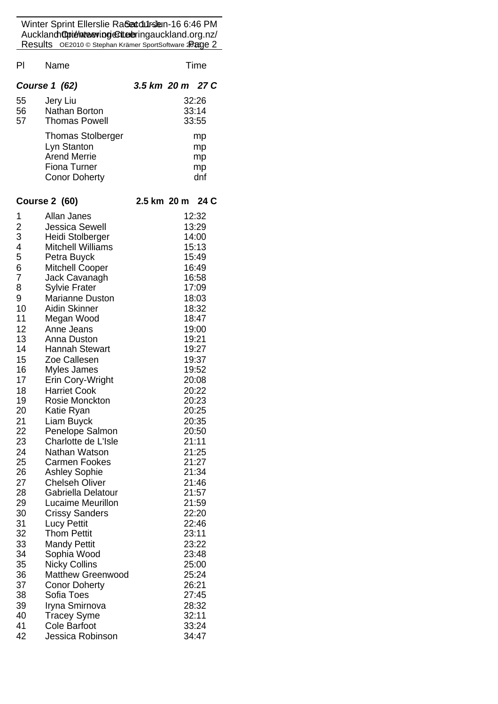Winter Sprint Ellerslie Ra**&ætdursle**n-16 6:46 PM Aucklan**d Opienteeving Clue e**ringauckland.org.nz/ Results OE2010 © Stephan Krämer SportSoftware **20age 2** 

| PI             | Name                                                           |                         |  | Time           |  |
|----------------|----------------------------------------------------------------|-------------------------|--|----------------|--|
|                | <b>Course 1 (62)</b>                                           | 3.5 km 20 m 27 C        |  |                |  |
| 55<br>56<br>57 | Jery Liu<br><b>Nathan Borton</b><br><b>Thomas Powell</b>       | 32:26<br>33:14<br>33:55 |  |                |  |
|                | <b>Thomas Stolberger</b><br>Lyn Stanton<br><b>Arend Merrie</b> |                         |  | mp<br>mp<br>mp |  |
|                | <b>Fiona Turner</b><br><b>Conor Doherty</b>                    |                         |  | mp<br>dnf      |  |
|                | <b>Course 2 (60)</b>                                           | 2.5 km 20 m             |  | 24 C           |  |
| 1              | Allan Janes                                                    |                         |  | 12:32          |  |
| $\frac{2}{3}$  | <b>Jessica Sewell</b>                                          |                         |  | 13:29          |  |
|                | Heidi Stolberger                                               |                         |  | 14:00          |  |
| 4<br>5         | <b>Mitchell Williams</b><br>Petra Buyck                        |                         |  | 15:13<br>15:49 |  |
| 6              | <b>Mitchell Cooper</b>                                         |                         |  | 16:49          |  |
| 7              | Jack Cavanagh                                                  |                         |  | 16:58          |  |
| 8              | <b>Sylvie Frater</b>                                           |                         |  | 17:09          |  |
| 9              | <b>Marianne Duston</b>                                         |                         |  | 18:03          |  |
| 10             | Aidin Skinner                                                  |                         |  | 18:32          |  |
| 11             | Megan Wood                                                     |                         |  | 18:47          |  |
| 12             | Anne Jeans                                                     |                         |  | 19:00          |  |
| 13             | Anna Duston                                                    |                         |  | 19:21          |  |
| 14             | <b>Hannah Stewart</b>                                          |                         |  | 19:27          |  |
| 15<br>16       | Zoe Callesen<br>Myles James                                    |                         |  | 19:37<br>19:52 |  |
| 17             | Erin Cory-Wright                                               |                         |  | 20:08          |  |
| 18             | <b>Harriet Cook</b>                                            |                         |  | 20:22          |  |
| 19             | Rosie Monckton                                                 |                         |  | 20:23          |  |
| 20             | Katie Ryan                                                     |                         |  | 20:25          |  |
| 21             | Liam Buyck                                                     |                         |  | 20:35          |  |
| 22             | Penelope Salmon                                                |                         |  | 20:50          |  |
| 23             | Charlotte de L'Isle                                            |                         |  | 21:11          |  |
| 24             | Nathan Watson                                                  |                         |  | 21:25          |  |
| 25<br>26       | <b>Carmen Fookes</b><br><b>Ashley Sophie</b>                   |                         |  | 21:27<br>21:34 |  |
| 27             | <b>Chelseh Oliver</b>                                          |                         |  | 21:46          |  |
| 28             | Gabriella Delatour                                             |                         |  | 21:57          |  |
| 29             | Lucaime Meurillon                                              |                         |  | 21:59          |  |
| 30             | <b>Crissy Sanders</b>                                          |                         |  | 22:20          |  |
| 31             | <b>Lucy Pettit</b>                                             |                         |  | 22:46          |  |
| 32             | <b>Thom Pettit</b>                                             |                         |  | 23:11          |  |
| 33             | <b>Mandy Pettit</b>                                            |                         |  | 23:22          |  |
| 34             | Sophia Wood                                                    |                         |  | 23:48          |  |
| 35             | <b>Nicky Collins</b>                                           |                         |  | 25:00          |  |
| 36             | Matthew Greenwood                                              |                         |  | 25:24          |  |
| 37<br>38       | <b>Conor Doherty</b><br>Sofia Toes                             |                         |  | 26:21<br>27:45 |  |
| 39             | Iryna Smirnova                                                 |                         |  | 28:32          |  |
| 40             | <b>Tracey Syme</b>                                             |                         |  | 32:11          |  |
| 41             | <b>Cole Barfoot</b>                                            |                         |  | 33:24          |  |
| 42             | Jessica Robinson                                               |                         |  | 34:47          |  |